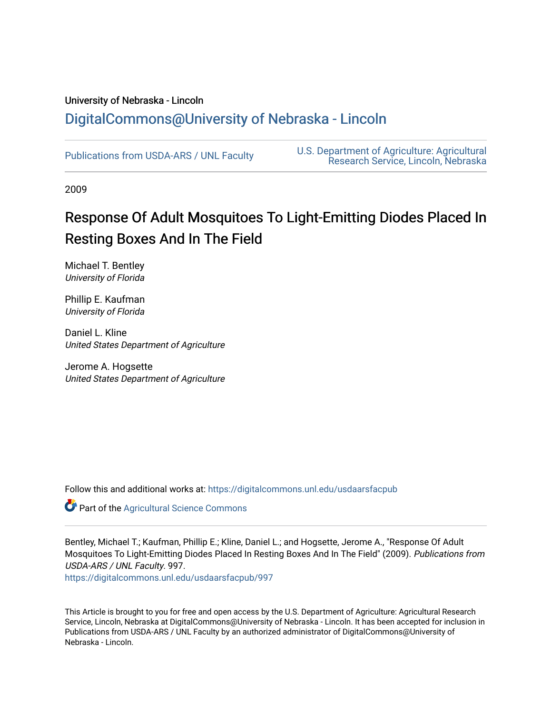# University of Nebraska - Lincoln [DigitalCommons@University of Nebraska - Lincoln](https://digitalcommons.unl.edu/)

[Publications from USDA-ARS / UNL Faculty](https://digitalcommons.unl.edu/usdaarsfacpub) [U.S. Department of Agriculture: Agricultural](https://digitalcommons.unl.edu/usdaars)  [Research Service, Lincoln, Nebraska](https://digitalcommons.unl.edu/usdaars) 

2009

# Response Of Adult Mosquitoes To Light-Emitting Diodes Placed In Resting Boxes And In The Field

Michael T. Bentley University of Florida

Phillip E. Kaufman University of Florida

Daniel L. Kline United States Department of Agriculture

Jerome A. Hogsette United States Department of Agriculture

Follow this and additional works at: [https://digitalcommons.unl.edu/usdaarsfacpub](https://digitalcommons.unl.edu/usdaarsfacpub?utm_source=digitalcommons.unl.edu%2Fusdaarsfacpub%2F997&utm_medium=PDF&utm_campaign=PDFCoverPages)

Part of the [Agricultural Science Commons](http://network.bepress.com/hgg/discipline/1063?utm_source=digitalcommons.unl.edu%2Fusdaarsfacpub%2F997&utm_medium=PDF&utm_campaign=PDFCoverPages)

Bentley, Michael T.; Kaufman, Phillip E.; Kline, Daniel L.; and Hogsette, Jerome A., "Response Of Adult Mosquitoes To Light-Emitting Diodes Placed In Resting Boxes And In The Field" (2009). Publications from USDA-ARS / UNL Faculty. 997.

[https://digitalcommons.unl.edu/usdaarsfacpub/997](https://digitalcommons.unl.edu/usdaarsfacpub/997?utm_source=digitalcommons.unl.edu%2Fusdaarsfacpub%2F997&utm_medium=PDF&utm_campaign=PDFCoverPages)

This Article is brought to you for free and open access by the U.S. Department of Agriculture: Agricultural Research Service, Lincoln, Nebraska at DigitalCommons@University of Nebraska - Lincoln. It has been accepted for inclusion in Publications from USDA-ARS / UNL Faculty by an authorized administrator of DigitalCommons@University of Nebraska - Lincoln.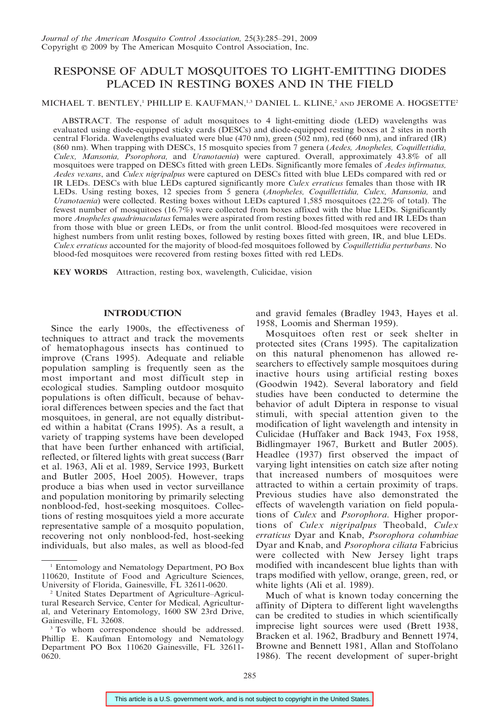# RESPONSE OF ADULT MOSQUITOES TO LIGHT-EMITTING DIODES PLACED IN RESTING BOXES AND IN THE FIELD

## MICHAEL T. BENTLEY,<sup>1</sup> PHILLIP E. KAUFMAN,<sup>1,3</sup> DANIEL L. KLINE,<sup>2</sup> AND JEROME A. HOGSETTE<sup>2</sup>

ABSTRACT. The response of adult mosquitoes to 4 light-emitting diode (LED) wavelengths was evaluated using diode-equipped sticky cards (DESCs) and diode-equipped resting boxes at 2 sites in north central Florida. Wavelengths evaluated were blue (470 nm), green (502 nm), red (660 nm), and infrared (IR) (860 nm). When trapping with DESCs, 15 mosquito species from 7 genera (Aedes, Anopheles, Coquillettidia, Culex, Mansonia, Psorophora, and Uranotaenia) were captured. Overall, approximately 43.8% of all mosquitoes were trapped on DESCs fitted with green LEDs. Significantly more females of Aedes infirmatus, Aedes vexans, and Culex nigripalpus were captured on DESCs fitted with blue LEDs compared with red or IR LEDs. DESCs with blue LEDs captured significantly more *Culex erraticus* females than those with IR LEDs. Using resting boxes, 12 species from 5 genera (Anopheles, Coquillettidia, Culex, Mansonia, and Uranotaenia) were collected. Resting boxes without LEDs captured 1,585 mosquitoes (22.2% of total). The fewest number of mosquitoes (16.7%) were collected from boxes affixed with the blue LEDs. Significantly more Anopheles quadrimaculatus females were aspirated from resting boxes fitted with red and IR LEDs than from those with blue or green LEDs, or from the unlit control. Blood-fed mosquitoes were recovered in highest numbers from unlit resting boxes, followed by resting boxes fitted with green, IR, and blue LEDs. Culex erraticus accounted for the majority of blood-fed mosquitoes followed by Coquillettidia perturbans. No blood-fed mosquitoes were recovered from resting boxes fitted with red LEDs.

KEY WORDS Attraction, resting box, wavelength, Culicidae, vision

#### INTRODUCTION

Since the early 1900s, the effectiveness of techniques to attract and track the movements of hematophagous insects has continued to improve (Crans 1995). Adequate and reliable population sampling is frequently seen as the most important and most difficult step in ecological studies. Sampling outdoor mosquito populations is often difficult, because of behavioral differences between species and the fact that mosquitoes, in general, are not equally distributed within a habitat (Crans 1995). As a result, a variety of trapping systems have been developed that have been further enhanced with artificial, reflected, or filtered lights with great success (Barr et al. 1963, Ali et al. 1989, Service 1993, Burkett and Butler 2005, Hoel 2005). However, traps produce a bias when used in vector surveillance and population monitoring by primarily selecting nonblood-fed, host-seeking mosquitoes. Collections of resting mosquitoes yield a more accurate representative sample of a mosquito population, recovering not only nonblood-fed, host-seeking individuals, but also males, as well as blood-fed

and gravid females (Bradley 1943, Hayes et al. 1958, Loomis and Sherman 1959).

Mosquitoes often rest or seek shelter in protected sites (Crans 1995). The capitalization on this natural phenomenon has allowed researchers to effectively sample mosquitoes during inactive hours using artificial resting boxes (Goodwin 1942). Several laboratory and field studies have been conducted to determine the behavior of adult Diptera in response to visual stimuli, with special attention given to the modification of light wavelength and intensity in Culicidae (Huffaker and Back 1943, Fox 1958, Bidlingmayer 1967, Burkett and Butler 2005). Headlee (1937) first observed the impact of varying light intensities on catch size after noting that increased numbers of mosquitoes were attracted to within a certain proximity of traps. Previous studies have also demonstrated the effects of wavelength variation on field populations of Culex and Psorophora. Higher proportions of Culex nigripalpus Theobald, Culex erraticus Dyar and Knab, Psorophora columbiae Dyar and Knab, and Psorophora ciliata Fabricius were collected with New Jersey light traps modified with incandescent blue lights than with traps modified with yellow, orange, green, red, or white lights (Ali et al. 1989).

Much of what is known today concerning the affinity of Diptera to different light wavelengths can be credited to studies in which scientifically imprecise light sources were used (Brett 1938, Bracken et al. 1962, Bradbury and Bennett 1974, Browne and Bennett 1981, Allan and Stoffolano 1986). The recent development of super-bright

<sup>1</sup> Entomology and Nematology Department, PO Box 110620, Institute of Food and Agriculture Sciences, University of Florida, Gainesville, FL 32611-0620.

<sup>2</sup> United States Department of Agriculture–Agricultural Research Service, Center for Medical, Agricultural, and Veterinary Entomology, 1600 SW 23rd Drive, Gainesville, FL 32608.

<sup>&</sup>lt;sup>3</sup> To whom correspondence should be addressed. Phillip E. Kaufman Entomology and Nematology Department PO Box 110620 Gainesville, FL 32611- 0620.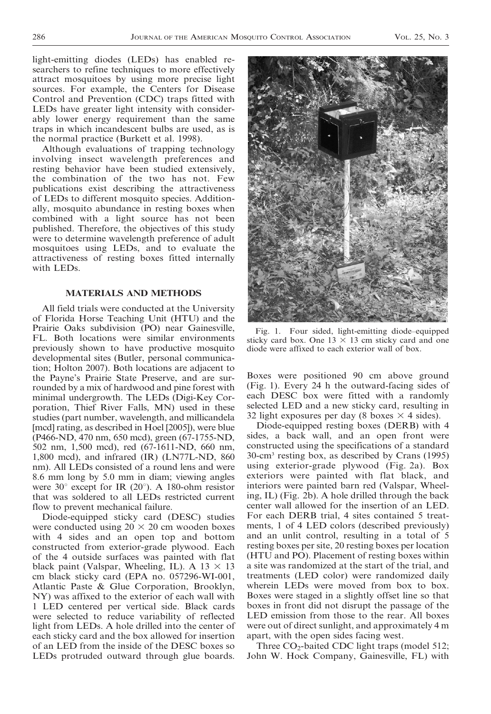light-emitting diodes (LEDs) has enabled researchers to refine techniques to more effectively attract mosquitoes by using more precise light sources. For example, the Centers for Disease Control and Prevention (CDC) traps fitted with LEDs have greater light intensity with considerably lower energy requirement than the same traps in which incandescent bulbs are used, as is the normal practice (Burkett et al. 1998).

Although evaluations of trapping technology involving insect wavelength preferences and resting behavior have been studied extensively, the combination of the two has not. Few publications exist describing the attractiveness of LEDs to different mosquito species. Additionally, mosquito abundance in resting boxes when combined with a light source has not been published. Therefore, the objectives of this study were to determine wavelength preference of adult mosquitoes using LEDs, and to evaluate the attractiveness of resting boxes fitted internally with LEDs.

#### MATERIALS AND METHODS

All field trials were conducted at the University of Florida Horse Teaching Unit (HTU) and the Prairie Oaks subdivision (PO) near Gainesville, FL. Both locations were similar environments previously shown to have productive mosquito developmental sites (Butler, personal communication; Holton 2007). Both locations are adjacent to the Payne's Prairie State Preserve, and are surrounded by a mix of hardwood and pine forest with minimal undergrowth. The LEDs (Digi-Key Corporation, Thief River Falls, MN) used in these studies (part number, wavelength, and millicandela [mcd] rating, as described in Hoel [2005]), were blue (P466-ND, 470 nm, 650 mcd), green (67-1755-ND, 502 nm, 1,500 mcd), red (67-1611-ND, 660 nm, 1,800 mcd), and infrared (IR) (LN77L-ND, 860 nm). All LEDs consisted of a round lens and were 8.6 mm long by 5.0 mm in diam; viewing angles were  $30^{\circ}$  except for IR (20°). A 180-ohm resistor that was soldered to all LEDs restricted current flow to prevent mechanical failure.

Diode-equipped sticky card (DESC) studies were conducted using  $20 \times 20$  cm wooden boxes with 4 sides and an open top and bottom constructed from exterior-grade plywood. Each of the 4 outside surfaces was painted with flat black paint (Valspar, Wheeling, IL). A  $13 \times 13$ cm black sticky card (EPA no. 057296-WI-001, Atlantic Paste & Glue Corporation, Brooklyn, NY) was affixed to the exterior of each wall with 1 LED centered per vertical side. Black cards were selected to reduce variability of reflected light from LEDs. A hole drilled into the center of each sticky card and the box allowed for insertion of an LED from the inside of the DESC boxes so LEDs protruded outward through glue boards.



Fig. 1. Four sided, light-emitting diode–equipped sticky card box. One  $13 \times 13$  cm sticky card and one diode were affixed to each exterior wall of box.

Boxes were positioned 90 cm above ground (Fig. 1). Every 24 h the outward-facing sides of each DESC box were fitted with a randomly selected LED and a new sticky card, resulting in 32 light exposures per day (8 boxes  $\times$  4 sides).

Diode-equipped resting boxes (DERB) with 4 sides, a back wall, and an open front were constructed using the specifications of a standard 30-cm3 resting box, as described by Crans (1995) using exterior-grade plywood (Fig. 2a). Box exteriors were painted with flat black, and interiors were painted barn red (Valspar, Wheeling, IL) (Fig. 2b). A hole drilled through the back center wall allowed for the insertion of an LED. For each DERB trial, 4 sites contained 5 treatments, 1 of 4 LED colors (described previously) and an unlit control, resulting in a total of 5 resting boxes per site, 20 resting boxes per location (HTU and PO). Placement of resting boxes within a site was randomized at the start of the trial, and treatments (LED color) were randomized daily wherein LEDs were moved from box to box. Boxes were staged in a slightly offset line so that boxes in front did not disrupt the passage of the LED emission from those to the rear. All boxes were out of direct sunlight, and approximately 4 m apart, with the open sides facing west.

Three  $CO_2$ -baited CDC light traps (model 512; John W. Hock Company, Gainesville, FL) with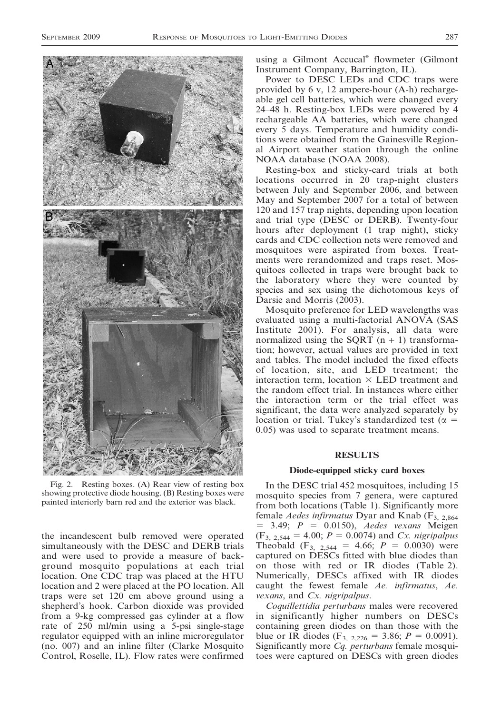

Fig. 2. Resting boxes. (A) Rear view of resting box showing protective diode housing. (B) Resting boxes were painted interiorly barn red and the exterior was black.

the incandescent bulb removed were operated simultaneously with the DESC and DERB trials and were used to provide a measure of background mosquito populations at each trial location. One CDC trap was placed at the HTU location and 2 were placed at the PO location. All traps were set 120 cm above ground using a shepherd's hook. Carbon dioxide was provided from a 9-kg compressed gas cylinder at a flow rate of 250 ml/min using a 5-psi single-stage regulator equipped with an inline microregulator (no. 007) and an inline filter (Clarke Mosquito Control, Roselle, IL). Flow rates were confirmed

using a Gilmont Accucal<sup>®</sup> flowmeter (Gilmont Instrument Company, Barrington, IL).

Power to DESC LEDs and CDC traps were provided by 6 v, 12 ampere-hour (A-h) rechargeable gel cell batteries, which were changed every 24–48 h. Resting-box LEDs were powered by 4 rechargeable AA batteries, which were changed every 5 days. Temperature and humidity conditions were obtained from the Gainesville Regional Airport weather station through the online NOAA database (NOAA 2008).

Resting-box and sticky-card trials at both locations occurred in 20 trap-night clusters between July and September 2006, and between May and September 2007 for a total of between 120 and 157 trap nights, depending upon location and trial type (DESC or DERB). Twenty-four hours after deployment (1 trap night), sticky cards and CDC collection nets were removed and mosquitoes were aspirated from boxes. Treatments were rerandomized and traps reset. Mosquitoes collected in traps were brought back to the laboratory where they were counted by species and sex using the dichotomous keys of Darsie and Morris (2003).

Mosquito preference for LED wavelengths was evaluated using a multi-factorial ANOVA (SAS Institute 2001). For analysis, all data were normalized using the SQRT  $(n + 1)$  transformation; however, actual values are provided in text and tables. The model included the fixed effects of location, site, and LED treatment; the interaction term, location  $\times$  LED treatment and the random effect trial. In instances where either the interaction term or the trial effect was significant, the data were analyzed separately by location or trial. Tukey's standardized test ( $\alpha =$ 0.05) was used to separate treatment means.

#### RESULTS

#### Diode-equipped sticky card boxes

In the DESC trial 452 mosquitoes, including 15 mosquito species from 7 genera, were captured from both locations (Table 1). Significantly more female *Aedes infirmatus* Dyar and Knab ( $F_{3,2,864}$ )  $= 3.49$ ;  $P = 0.0150$ ), *Aedes vexans* Meigen  $(F_{3, 2.544} = 4.00; P = 0.0074)$  and Cx. nigripalpus Theobald  $(F_{3, 2,544} = 4.66; P = 0.0030)$  were captured on DESCs fitted with blue diodes than on those with red or IR diodes (Table 2). Numerically, DESCs affixed with IR diodes caught the fewest female Ae. infirmatus, Ae. vexans, and Cx. nigripalpus.

Coquillettidia perturbans males were recovered in significantly higher numbers on DESCs containing green diodes on than those with the blue or IR diodes (F<sub>3, 2,226</sub> = 3.86;  $P = 0.0091$ ). Significantly more Cq. perturbans female mosquitoes were captured on DESCs with green diodes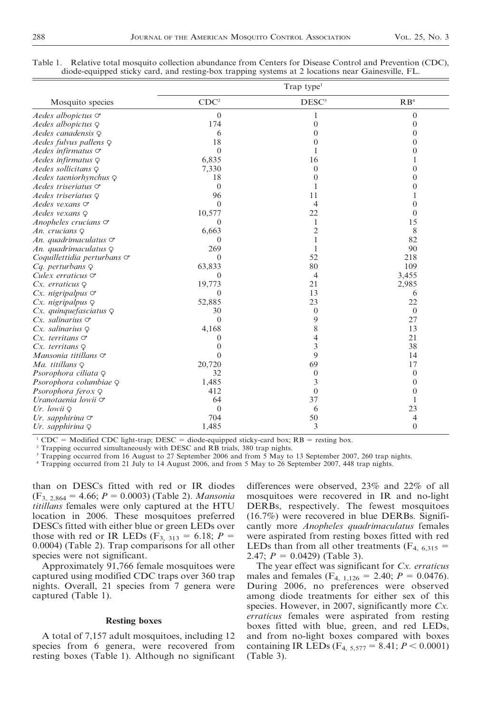|                                   | Trap type <sup>1</sup> |                   |                  |  |  |  |
|-----------------------------------|------------------------|-------------------|------------------|--|--|--|
| Mosquito species                  | CDC <sup>2</sup>       | DESC <sup>3</sup> | RB <sup>4</sup>  |  |  |  |
| Aedes albopictus $\circ$          | $\mathbf{0}$           | 1                 | $\theta$         |  |  |  |
| Aedes albopictus $Q$              | 174                    | $\overline{0}$    | $\theta$         |  |  |  |
| Aedes canadensis $\varphi$        | 6                      | $\mathbf{0}$      | $\boldsymbol{0}$ |  |  |  |
| Aedes fulvus pallens $\varphi$    | 18                     | $\mathbf{0}$      | 0                |  |  |  |
| Aedes infirmatus $\circ$          | $\theta$               | 1                 | $\mathbf{0}$     |  |  |  |
| Aedes infirmatus $\varphi$        | 6,835                  | 16                | 1                |  |  |  |
| Aedes sollicitans $\varphi$       | 7,330                  | $\overline{0}$    | $\boldsymbol{0}$ |  |  |  |
| Aedes taeniorhynchus Q            | 18                     | $\boldsymbol{0}$  | $\boldsymbol{0}$ |  |  |  |
| Aedes triseriatus $\circ$         | $\mathbf{0}$           | 1                 | $\mathbf{0}$     |  |  |  |
| Aedes triseriatus $\varphi$       | 96                     | 11                | 1                |  |  |  |
| Aedes vexans $\circ$              | $\theta$               | $\overline{4}$    | $\overline{0}$   |  |  |  |
| Aedes vexans $\varphi$            | 10,577                 | 22                | $\mathbf{0}$     |  |  |  |
| Anopheles crucians $\circ$        | 0                      | 1                 | 15               |  |  |  |
| An. crucians Q                    | 6,663                  | $\overline{2}$    | 8                |  |  |  |
| An. quadrimaculatus $\sigma$      | $\mathbf{0}$           | $\mathbf{1}$      | 82               |  |  |  |
| An. quadrimaculatus $\varphi$     | 269                    | 1                 | 90               |  |  |  |
| Coquillettidia perturbans $\circ$ | $\Omega$               | 52                | 218              |  |  |  |
| $Cq.$ perturbans $\varphi$        | 63,833                 | 80                | 109              |  |  |  |
| Culex erraticus $\circ$           | $\theta$               | $\overline{4}$    | 3,455            |  |  |  |
| $Cx.$ erraticus $Q$               | 19,773                 | 21                | 2,985            |  |  |  |
| $Cx.$ nigripalpus $\sigma$        | $\Omega$               | 13                | 6                |  |  |  |
| $Cx.$ nigripalpus $\varphi$       | 52,885                 | 23                | 22               |  |  |  |
| $Cx.$ quinque fasciatus $\varphi$ | 30                     | $\theta$          | $\overline{0}$   |  |  |  |
| $Cx.$ salinarius $\circ$          | $\Omega$               | 9                 | 27               |  |  |  |
| $Cx.$ salinarius $\varphi$        | 4,168                  | 8                 | 13               |  |  |  |
| $Cx.$ territans $\sigma$          | $\mathbf{0}$           | 4                 | 21               |  |  |  |
| $Cx.$ territans $Q$               | $\Omega$               | 3                 | 38               |  |  |  |
| Mansonia titillans $\circ$        | $\theta$               | 9                 | 14               |  |  |  |
| Ma. titillans $\varphi$           | 20,720                 | 69                | 17               |  |  |  |
| Psorophora ciliata $\varphi$      | 32                     | $\mathbf{0}$      | $\mathbf{0}$     |  |  |  |
| Psorophora columbiae Q            | 1,485                  | 3                 | $\mathbf{0}$     |  |  |  |
| Psorophora ferox Q                | 412                    | $\theta$          | $\mathbf{0}$     |  |  |  |
| Uranotaenia lowii $\circ$         | 64                     | 37                | 1                |  |  |  |
| Ur. lowii $\varphi$               | $\mathbf{0}$           | 6                 | 23               |  |  |  |
| Ur. sapphirina $\circ$            | 704                    | 50                | 4                |  |  |  |
| Ur. sapphirina $\varphi$          | 1,485                  | 3                 | $\overline{0}$   |  |  |  |

|  |  |  | Table 1. Relative total mosquito collection abundance from Centers for Disease Control and Prevention (CDC), |  |
|--|--|--|--------------------------------------------------------------------------------------------------------------|--|
|  |  |  | diode-equipped sticky card, and resting-box trapping systems at 2 locations near Gainesville, FL.            |  |

<sup>1</sup> CDC = Modified CDC light-trap; DESC = diode-equipped sticky-card box; RB = resting box.

<sup>2</sup> Trapping occurred simultaneously with DESC and RB trials, 380 trap nights.

<sup>3</sup> Trapping occurred from 16 August to 27 September 2006 and from 5 May to 13 September 2007, 260 trap nights.

<sup>4</sup> Trapping occurred from 21 July to 14 August 2006, and from 5 May to 26 September 2007, 448 trap nights.

than on DESCs fitted with red or IR diodes  $(F_{3, 2.864} = 4.66; P = 0.0003)$  (Table 2). Mansonia titillans females were only captured at the HTU location in 2006. These mosquitoes preferred DESCs fitted with either blue or green LEDs over those with red or IR LEDs ( $F_{3, 313} = 6.18$ ;  $P =$ 0.0004) (Table 2). Trap comparisons for all other species were not significant.

Approximately 91,766 female mosquitoes were captured using modified CDC traps over 360 trap nights. Overall, 21 species from 7 genera were captured (Table 1).

#### Resting boxes

A total of 7,157 adult mosquitoes, including 12 species from 6 genera, were recovered from resting boxes (Table 1). Although no significant differences were observed, 23% and 22% of all mosquitoes were recovered in IR and no-light DERBs, respectively. The fewest mosquitoes (16.7%) were recovered in blue DERBs. Significantly more Anopheles quadrimaculatus females were aspirated from resting boxes fitted with red LEDs than from all other treatments  $(F_{4, 6,315} =$ 2.47;  $P = 0.0429$  (Table 3).

The year effect was significant for  $Cx$ . erraticus males and females ( $F_{4, 1,126} = 2.40$ ;  $P = 0.0476$ ). During 2006, no preferences were observed among diode treatments for either sex of this species. However, in 2007, significantly more  $Cx$ . erraticus females were aspirated from resting boxes fitted with blue, green, and red LEDs, and from no-light boxes compared with boxes containing IR LEDs ( $F_{4, 5,577} = 8.41; P < 0.0001$ ) (Table 3).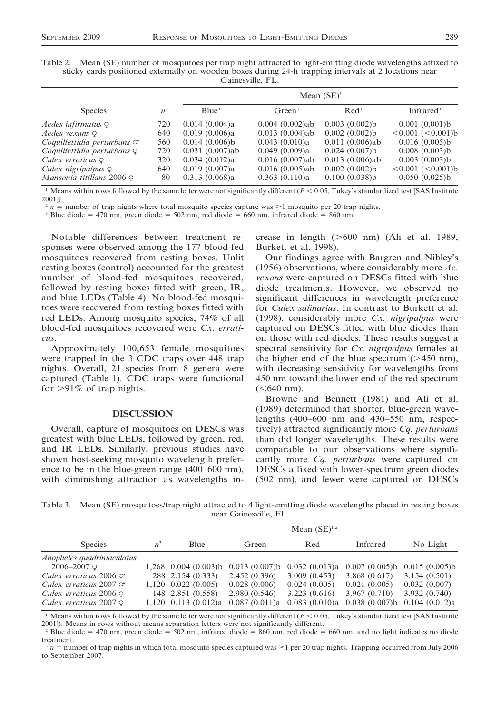| Table 2. Mean (SE) number of mosquitoes per trap night attracted to light-emitting diode wavelengths affixed to |                  |  |  |
|-----------------------------------------------------------------------------------------------------------------|------------------|--|--|
| sticky cards positioned externally on wooden boxes during 24-h trapping intervals at 2 locations near           |                  |  |  |
|                                                                                                                 | Gainesville, FL. |  |  |

|                                     |       | Mean $(SE)^1$     |                    |                   |                            |  |  |
|-------------------------------------|-------|-------------------|--------------------|-------------------|----------------------------|--|--|
| <b>Species</b>                      | $n^2$ | Blue <sup>3</sup> | Green <sup>3</sup> | $\text{Red}^3$    | Infrare $d^3$              |  |  |
| Aedes infirmatus $\varphi$          | 720   | 0.014(0.004)a     | $0.004(0.002)$ ab  | 0.003(0.002)b     | 0.001(0.001)b              |  |  |
| Aedes vexans Q                      | 640   | 0.019(0.006)a     | $0.013(0.004)$ ab  | 0.002(0.002)b     | $\leq 0.001$ $(< 0.001$ )b |  |  |
| Coquillettidia perturbans $\circ$   | 560   | 0.014(0.006)b     | 0.043(0.010)a      | $0.011(0.006)$ ab | 0.016(0.005)b              |  |  |
| Coquillettidia perturbans $\varphi$ | 720   | $0.031(0.007)$ ab | 0.049(0.009)a      | 0.024(0.007)b     | 0.008(0.003)b              |  |  |
| Culex erraticus $\varphi$           | 320   | 0.034(0.012)a     | $0.016(0.007)$ ab  | $0.013(0.006)$ ab | 0.003(0.003)b              |  |  |
| Culex nigripalpus $\varphi$         | 640   | 0.019(0.007)a     | $0.016(0.005)$ ab  | 0.002(0.002)b     | $\leq 0.001$ $(< 0.001$ )b |  |  |
| Mansonia titillans 2006 $\varphi$   | 80    | 0.313(0.068)a     | 0.363(0.110)a      | 0.100(0.038)b     | 0.050(0.025)b              |  |  |

<sup>1</sup> Means within rows followed by the same letter were not significantly different ( $P < 0.05$ , Tukey's standardized test [SAS Institute 2001]).

 $2 n$  = number of trap nights where total mosquito species capture was  $\geq 1$  mosquito per 20 trap nights.

<sup>3</sup> Blue diode = 470 nm, green diode = 502 nm, red diode = 660 nm, infrared diode = 860 nm.

Notable differences between treatment responses were observed among the 177 blood-fed mosquitoes recovered from resting boxes. Unlit resting boxes (control) accounted for the greatest number of blood-fed mosquitoes recovered, followed by resting boxes fitted with green, IR, and blue LEDs (Table 4). No blood-fed mosquitoes were recovered from resting boxes fitted with red LEDs. Among mosquito species, 74% of all blood-fed mosquitoes recovered were Cx. erraticus.

Approximately 100,653 female mosquitoes were trapped in the 3 CDC traps over 448 trap nights. Overall, 21 species from 8 genera were captured (Table 1). CDC traps were functional for  $>91\%$  of trap nights.

#### **DISCUSSION**

Overall, capture of mosquitoes on DESCs was greatest with blue LEDs, followed by green, red, and IR LEDs. Similarly, previous studies have shown host-seeking mosquito wavelength preference to be in the blue-green range (400–600 nm), with diminishing attraction as wavelengths increase in length  $(>600 \text{ nm})$  (Ali et al. 1989, Burkett et al. 1998).

Our findings agree with Bargren and Nibley's (1956) observations, where considerably more  $Ae$ . vexans were captured on DESCs fitted with blue diode treatments. However, we observed no significant differences in wavelength preference for Culex salinarius. In contrast to Burkett et al. (1998), considerably more  $Cx$ . *nigripalpus* were captured on DESCs fitted with blue diodes than on those with red diodes. These results suggest a spectral sensitivity for Cx. nigripalpus females at the higher end of the blue spectrum  $(>450 \text{ nm})$ , with decreasing sensitivity for wavelengths from 450 nm toward the lower end of the red spectrum  $(<640$  nm).

Browne and Bennett (1981) and Ali et al. (1989) determined that shorter, blue-green wavelengths (400–600 nm and 430–550 nm, respectively) attracted significantly more Cq. perturbans than did longer wavelengths. These results were comparable to our observations where significantly more *Cq. perturbans* were captured on DESCs affixed with lower-spectrum green diodes (502 nm), and fewer were captured on DESCs

Table 3. Mean (SE) mosquitoes/trap night attracted to 4 light-emitting diode wavelengths placed in resting boxes near Gainesville, FL.

|                                |                | Mean $(SE)^{1,2}$      |               |               |                                  |                                  |  |
|--------------------------------|----------------|------------------------|---------------|---------------|----------------------------------|----------------------------------|--|
| <b>Species</b>                 | n <sup>3</sup> | Blue                   | Green         | Red           | Infrared                         | No Light                         |  |
| Anopheles quadrimaculatus      |                |                        |               |               |                                  |                                  |  |
| $2006 - 2007$ Q                |                | $1,268$ 0.004 (0.003)b | 0.013(0.007)b | 0.032(0.013)a |                                  | $0.007(0.005)b$ 0.015 $(0.005)b$ |  |
| Culex erraticus 2006 $\circ$   |                | 288 2.154 (0.333)      | 2.452(0.396)  | 3.009(0.453)  | 3.868(0.617)                     | 3.154(0.501)                     |  |
| Culex erraticus 2007 $\circ$   |                | $1,120$ 0.022 (0.005)  | 0.028(0.006)  | 0.024(0.005)  | 0.021(0.005)                     | 0.032(0.007)                     |  |
| Culex erraticus $2006 \varphi$ |                | 148 2.851 (0.558)      | 2.980(0.546)  | 3.223(0.616)  | 3.967(0.710)                     | 3.932(0.740)                     |  |
| Culex erraticus $2007 \varphi$ |                | 1.120 0.113 $(0.012)a$ | 0.087(0.011)a | 0.083(0.010)a | $0.038(0.007)b$ 0.104 $(0.012)a$ |                                  |  |

<sup>1</sup> Means within rows followed by the same letter were not significantly different ( $P < 0.05$ , Tukey's standardized test [SAS Institute 2001]). Means in rows without means separation letters were not significantly different.

Blue diode  $= 470$  nm, green diode  $= 502$  nm, infrared diode  $= 860$  nm, red diode  $= 660$  nm, and no light indicates no diode treatment.

 $3 n$  = number of trap nights in which total mosquito species captured was  $\geq 1$  per 20 trap nights. Trapping occurred from July 2006 to September 2007.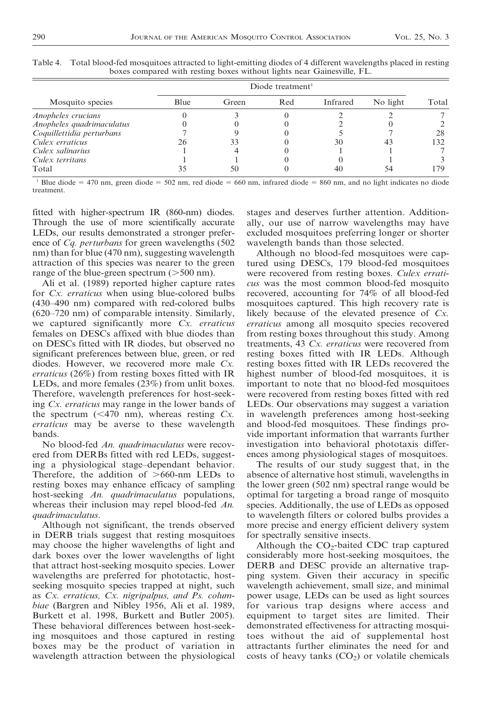|                           | Diode treatment <sup>1</sup> |       |     |          |          |       |  |
|---------------------------|------------------------------|-------|-----|----------|----------|-------|--|
| Mosquito species          | Blue                         | Green | Red | Infrared | No light | Total |  |
| Anopheles crucians        |                              |       |     |          |          |       |  |
| Anopheles quadrimaculatus |                              |       |     |          |          |       |  |
| Coquillettidia perturbans |                              |       |     |          |          | 28    |  |
| Culex erraticus           | 26                           | 33    |     | 30       | 43       | 132   |  |
| Culex salinarius          |                              |       |     |          |          |       |  |
| Culex territans           |                              |       |     |          |          |       |  |
| Total                     |                              | 50    |     |          |          | 179   |  |

Table 4. Total blood-fed mosquitoes attracted to light-emitting diodes of 4 different wavelengths placed in resting boxes compared with resting boxes without lights near Gainesville, FL.

<sup>1</sup> Blue diode = 470 nm, green diode = 502 nm, red diode = 660 nm, infrared diode = 860 nm, and no light indicates no diode treatment.

fitted with higher-spectrum IR (860-nm) diodes. Through the use of more scientifically accurate LEDs, our results demonstrated a stronger preference of *Cq. perturbans* for green wavelengths (502) nm) than for blue (470 nm), suggesting wavelength attraction of this species was nearer to the green range of the blue-green spectrum  $(>500 \text{ nm})$ .

Ali et al. (1989) reported higher capture rates for Cx. erraticus when using blue-colored bulbs (430–490 nm) compared with red-colored bulbs (620–720 nm) of comparable intensity. Similarly, we captured significantly more Cx. erraticus females on DESCs affixed with blue diodes than on DESCs fitted with IR diodes, but observed no significant preferences between blue, green, or red diodes. However, we recovered more male Cx. erraticus (26%) from resting boxes fitted with IR LEDs, and more females (23%) from unlit boxes. Therefore, wavelength preferences for host-seeking Cx. erraticus may range in the lower bands of the spectrum ( $\leq$ 470 nm), whereas resting Cx. erraticus may be averse to these wavelength bands.

No blood-fed An. quadrimaculatus were recovered from DERBs fitted with red LEDs, suggesting a physiological stage–dependant behavior. Therefore, the addition of  $>660$ -nm LEDs to resting boxes may enhance efficacy of sampling host-seeking An. quadrimaculatus populations, whereas their inclusion may repel blood-fed An. quadrimaculatus.

Although not significant, the trends observed in DERB trials suggest that resting mosquitoes may choose the higher wavelengths of light and dark boxes over the lower wavelengths of light that attract host-seeking mosquito species. Lower wavelengths are preferred for phototactic, hostseeking mosquito species trapped at night, such as Cx. erraticus, Cx. nigripalpus, and Ps. columbiae (Bargren and Nibley 1956, Ali et al. 1989, Burkett et al. 1998, Burkett and Butler 2005). These behavioral differences between host-seeking mosquitoes and those captured in resting boxes may be the product of variation in wavelength attraction between the physiological stages and deserves further attention. Additionally, our use of narrow wavelengths may have excluded mosquitoes preferring longer or shorter wavelength bands than those selected.

Although no blood-fed mosquitoes were captured using DESCs, 179 blood-fed mosquitoes were recovered from resting boxes. Culex erraticus was the most common blood-fed mosquito recovered, accounting for 74% of all blood-fed mosquitoes captured. This high recovery rate is likely because of the elevated presence of Cx. erraticus among all mosquito species recovered from resting boxes throughout this study. Among treatments, 43 Cx. erraticus were recovered from resting boxes fitted with IR LEDs. Although resting boxes fitted with IR LEDs recovered the highest number of blood-fed mosquitoes, it is important to note that no blood-fed mosquitoes were recovered from resting boxes fitted with red LEDs. Our observations may suggest a variation in wavelength preferences among host-seeking and blood-fed mosquitoes. These findings provide important information that warrants further investigation into behavioral phototaxis differences among physiological stages of mosquitoes.

The results of our study suggest that, in the absence of alternative host stimuli, wavelengths in the lower green (502 nm) spectral range would be optimal for targeting a broad range of mosquito species. Additionally, the use of LEDs as opposed to wavelength filters or colored bulbs provides a more precise and energy efficient delivery system for spectrally sensitive insects.

Although the  $CO<sub>2</sub>$ -baited CDC trap captured considerably more host-seeking mosquitoes, the DERB and DESC provide an alternative trapping system. Given their accuracy in specific wavelength achievement, small size, and minimal power usage, LEDs can be used as light sources for various trap designs where access and equipment to target sites are limited. Their demonstrated effectiveness for attracting mosquitoes without the aid of supplemental host attractants further eliminates the need for and costs of heavy tanks  $(CO<sub>2</sub>)$  or volatile chemicals